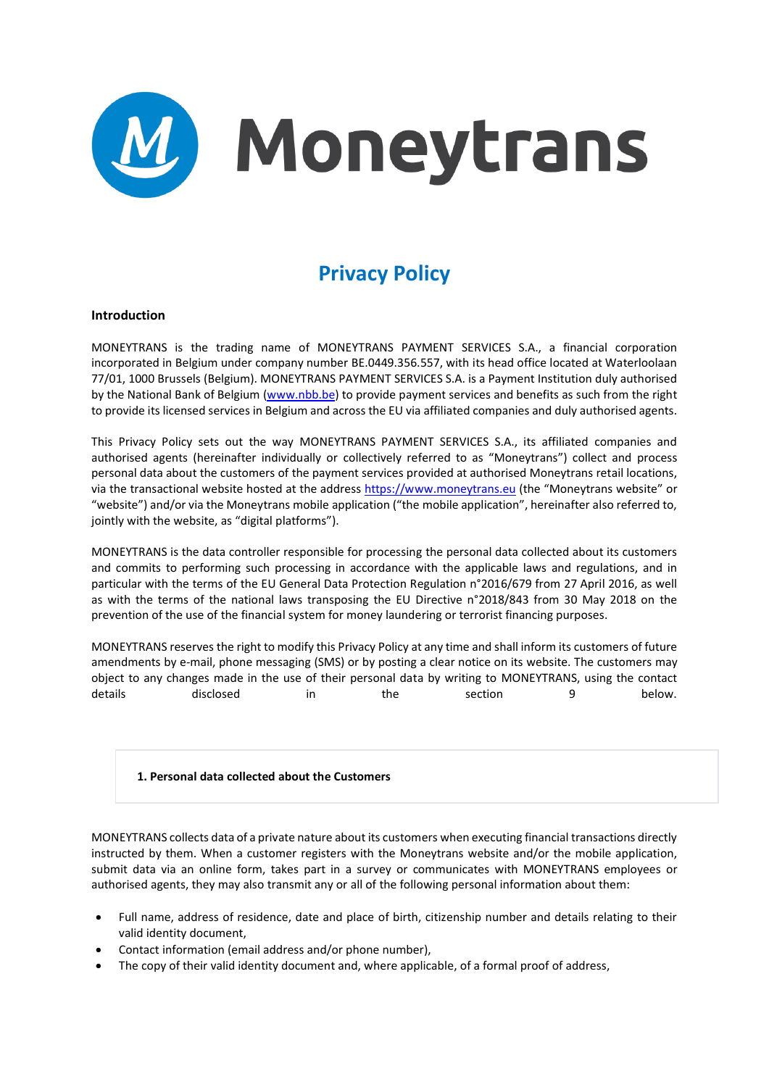

# **Privacy Policy**

## **Introduction**

MONEYTRANS is the trading name of MONEYTRANS PAYMENT SERVICES S.A., a financial corporation incorporated in Belgium under company number BE.0449.356.557, with its head office located at Waterloolaan 77/01, 1000 Brussels (Belgium). MONEYTRANS PAYMENT SERVICES S.A. is a Payment Institution duly authorised by the National Bank of Belgium [\(www.nbb.be\)](http://www.nbb.be/) to provide payment services and benefits as such from the right to provide its licensed services in Belgium and across the EU via affiliated companies and duly authorised agents.

This Privacy Policy sets out the way MONEYTRANS PAYMENT SERVICES S.A., its affiliated companies and authorised agents (hereinafter individually or collectively referred to as "Moneytrans") collect and process personal data about the customers of the payment services provided at authorised Moneytrans retail locations, via the transactional website hosted at the address [https://www.moneytrans.eu](https://www.moneytrans.eu/) (the "Moneytrans website" or "website") and/or via the Moneytrans mobile application ("the mobile application", hereinafter also referred to, jointly with the website, as "digital platforms").

MONEYTRANS is the data controller responsible for processing the personal data collected about its customers and commits to performing such processing in accordance with the applicable laws and regulations, and in particular with the terms of the EU General Data Protection Regulation n°2016/679 from 27 April 2016, as well as with the terms of the national laws transposing the EU Directive n°2018/843 from 30 May 2018 on the prevention of the use of the financial system for money laundering or terrorist financing purposes.

MONEYTRANS reserves the right to modify this Privacy Policy at any time and shall inform its customers of future amendments by e-mail, phone messaging (SMS) or by posting a clear notice on its website. The customers may object to any changes made in the use of their personal data by writing to MONEYTRANS, using the contact details disclosed in the section 9 below.

#### **1. Personal data collected about the Customers**

MONEYTRANS collects data of a private nature about its customers when executing financial transactions directly instructed by them. When a customer registers with the Moneytrans website and/or the mobile application, submit data via an online form, takes part in a survey or communicates with MONEYTRANS employees or authorised agents, they may also transmit any or all of the following personal information about them:

- Full name, address of residence, date and place of birth, citizenship number and details relating to their valid identity document,
- Contact information (email address and/or phone number),
- The copy of their valid identity document and, where applicable, of a formal proof of address,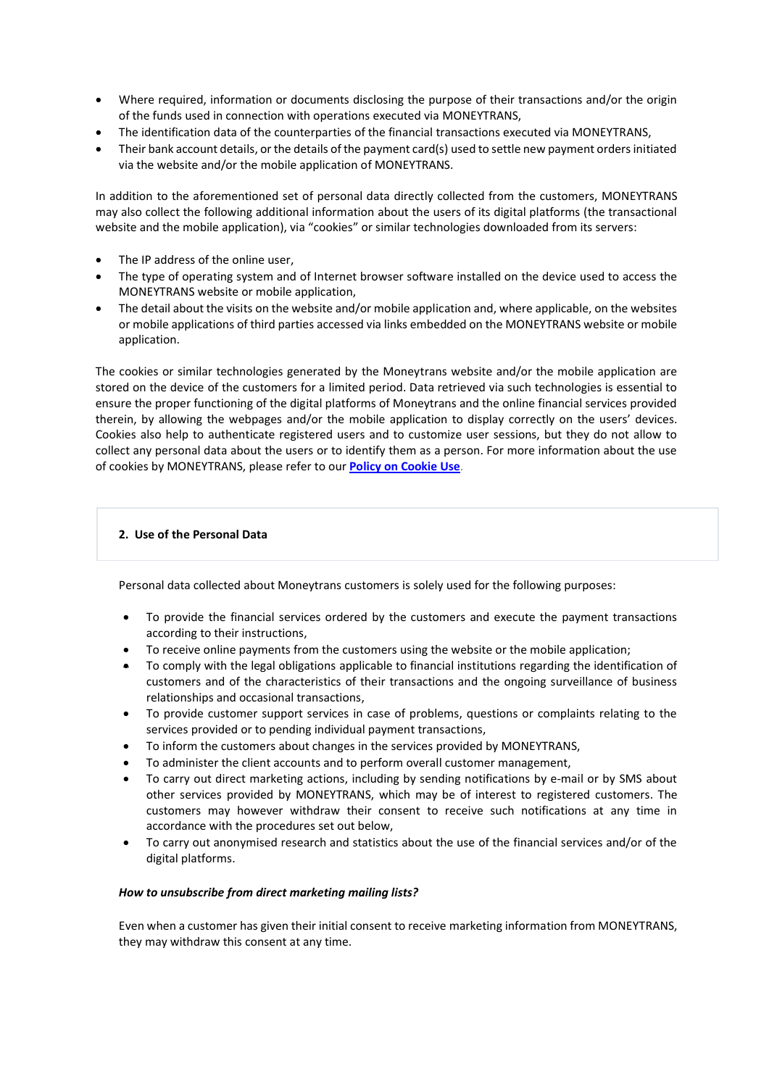- Where required, information or documents disclosing the purpose of their transactions and/or the origin of the funds used in connection with operations executed via MONEYTRANS,
- The identification data of the counterparties of the financial transactions executed via MONEYTRANS,
- Their bank account details, or the details of the payment card(s) used to settle new payment orders initiated via the website and/or the mobile application of MONEYTRANS.

In addition to the aforementioned set of personal data directly collected from the customers, MONEYTRANS may also collect the following additional information about the users of its digital platforms (the transactional website and the mobile application), via "cookies" or similar technologies downloaded from its servers:

- The IP address of the online user,
- The type of operating system and of Internet browser software installed on the device used to access the MONEYTRANS website or mobile application,
- The detail about the visits on the website and/or mobile application and, where applicable, on the websites or mobile applications of third parties accessed via links embedded on the MONEYTRANS website or mobile application.

The cookies or similar technologies generated by the Moneytrans website and/or the mobile application are stored on the device of the customers for a limited period. Data retrieved via such technologies is essential to ensure the proper functioning of the digital platforms of Moneytrans and the online financial services provided therein, by allowing the webpages and/or the mobile application to display correctly on the users' devices. Cookies also help to authenticate registered users and to customize user sessions, but they do not allow to collect any personal data about the users or to identify them as a person. For more information about the use of cookies by MONEYTRANS, please refer to our **Policy on [Cookie Use](https://www.moneytrans.eu/belgium/en/cookies-policy/)**.

## **2. Use of the Personal Data**

Personal data collected about Moneytrans customers is solely used for the following purposes:

- To provide the financial services ordered by the customers and execute the payment transactions according to their instructions,
- To receive online payments from the customers using the website or the mobile application;
- To comply with the legal obligations applicable to financial institutions regarding the identification of customers and of the characteristics of their transactions and the ongoing surveillance of business relationships and occasional transactions,
- To provide customer support services in case of problems, questions or complaints relating to the services provided or to pending individual payment transactions,
- To inform the customers about changes in the services provided by MONEYTRANS,
- To administer the client accounts and to perform overall customer management,
- To carry out direct marketing actions, including by sending notifications by e-mail or by SMS about other services provided by MONEYTRANS, which may be of interest to registered customers. The customers may however withdraw their consent to receive such notifications at any time in accordance with the procedures set out below,
- To carry out anonymised research and statistics about the use of the financial services and/or of the digital platforms.

## *How to unsubscribe from direct marketing mailing lists?*

Even when a customer has given their initial consent to receive marketing information from MONEYTRANS, they may withdraw this consent at any time.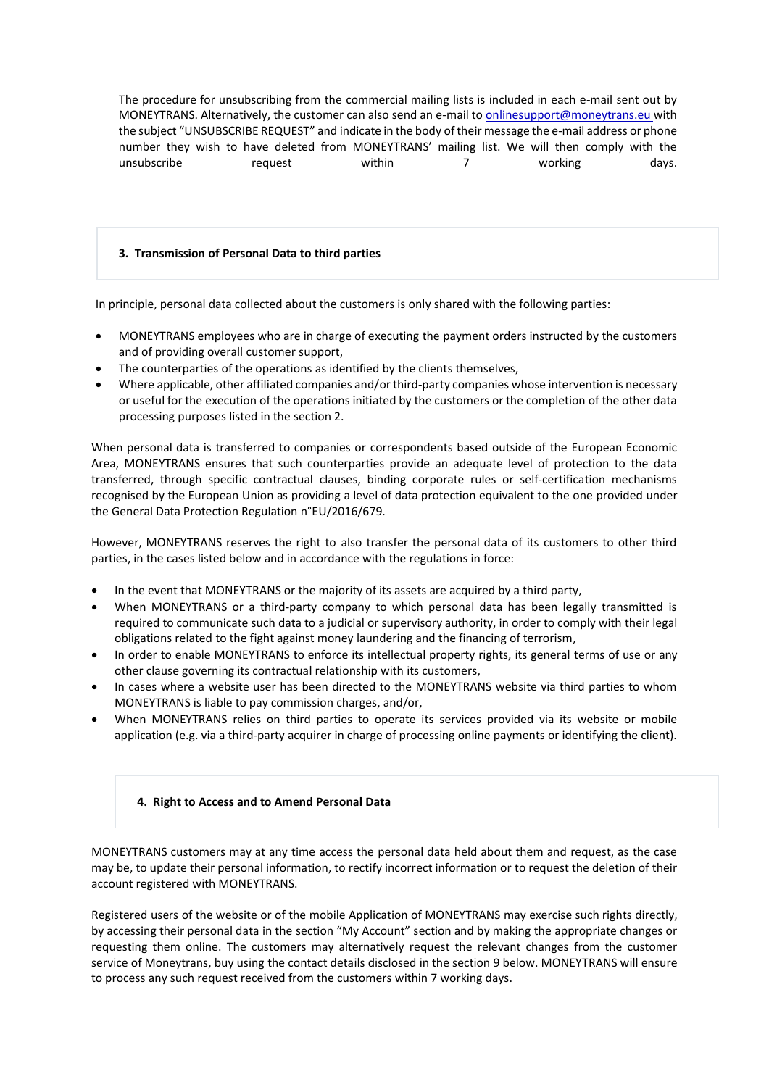The procedure for unsubscribing from the commercial mailing lists is included in each e-mail sent out by MONEYTRANS. Alternatively, the customer can also send an e-mail to [onlinesupport@moneytrans.eu](mailto:onlinesupport@moneytrans.eu) with the subject "UNSUBSCRIBE REQUEST" and indicate in the body of their message the e-mail address or phone number they wish to have deleted from MONEYTRANS' mailing list. We will then comply with the unsubscribe request within 7 working days.

# **3. Transmission of Personal Data to third parties**

In principle, personal data collected about the customers is only shared with the following parties:

- MONEYTRANS employees who are in charge of executing the payment orders instructed by the customers and of providing overall customer support,
- The counterparties of the operations as identified by the clients themselves,
- Where applicable, other affiliated companies and/or third-party companies whose intervention is necessary or useful for the execution of the operations initiated by the customers or the completion of the other data processing purposes listed in the section 2.

When personal data is transferred to companies or correspondents based outside of the European Economic Area, MONEYTRANS ensures that such counterparties provide an adequate level of protection to the data transferred, through specific contractual clauses, binding corporate rules or self-certification mechanisms recognised by the European Union as providing a level of data protection equivalent to the one provided under the General Data Protection Regulation n°EU/2016/679.

However, MONEYTRANS reserves the right to also transfer the personal data of its customers to other third parties, in the cases listed below and in accordance with the regulations in force:

- In the event that MONEYTRANS or the majority of its assets are acquired by a third party,
- When MONEYTRANS or a third-party company to which personal data has been legally transmitted is required to communicate such data to a judicial or supervisory authority, in order to comply with their legal obligations related to the fight against money laundering and the financing of terrorism,
- In order to enable MONEYTRANS to enforce its intellectual property rights, its general terms of use or any other clause governing its contractual relationship with its customers,
- In cases where a website user has been directed to the MONEYTRANS website via third parties to whom MONEYTRANS is liable to pay commission charges, and/or,
- When MONEYTRANS relies on third parties to operate its services provided via its website or mobile application (e.g. via a third-party acquirer in charge of processing online payments or identifying the client).

## **4. Right to Access and to Amend Personal Data**

MONEYTRANS customers may at any time access the personal data held about them and request, as the case may be, to update their personal information, to rectify incorrect information or to request the deletion of their account registered with MONEYTRANS.

Registered users of the website or of the mobile Application of MONEYTRANS may exercise such rights directly, by accessing their personal data in the section "My Account" section and by making the appropriate changes or requesting them online. The customers may alternatively request the relevant changes from the customer service of Moneytrans, buy using the contact details disclosed in the section 9 below. MONEYTRANS will ensure to process any such request received from the customers within 7 working days.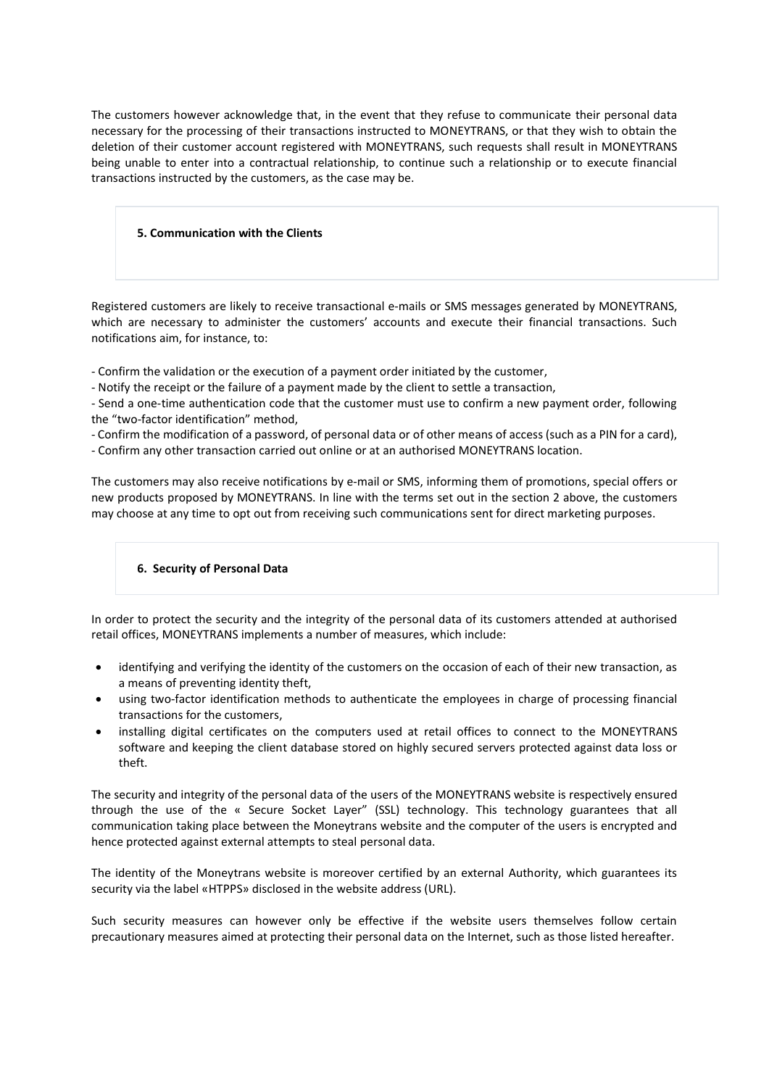The customers however acknowledge that, in the event that they refuse to communicate their personal data necessary for the processing of their transactions instructed to MONEYTRANS, or that they wish to obtain the deletion of their customer account registered with MONEYTRANS, such requests shall result in MONEYTRANS being unable to enter into a contractual relationship, to continue such a relationship or to execute financial transactions instructed by the customers, as the case may be.

#### **5. Communication with the Clients**

Registered customers are likely to receive transactional e-mails or SMS messages generated by MONEYTRANS, which are necessary to administer the customers' accounts and execute their financial transactions. Such notifications aim, for instance, to:

- Confirm the validation or the execution of a payment order initiated by the customer,

- Notify the receipt or the failure of a payment made by the client to settle a transaction,

- Send a one-time authentication code that the customer must use to confirm a new payment order, following the "two-factor identification" method,

- Confirm the modification of a password, of personal data or of other means of access (such as a PIN for a card),

- Confirm any other transaction carried out online or at an authorised MONEYTRANS location.

The customers may also receive notifications by e-mail or SMS, informing them of promotions, special offers or new products proposed by MONEYTRANS. In line with the terms set out in the section 2 above, the customers may choose at any time to opt out from receiving such communications sent for direct marketing purposes.

## **6. Security of Personal Data**

In order to protect the security and the integrity of the personal data of its customers attended at authorised retail offices, MONEYTRANS implements a number of measures, which include:

- identifying and verifying the identity of the customers on the occasion of each of their new transaction, as a means of preventing identity theft,
- using two-factor identification methods to authenticate the employees in charge of processing financial transactions for the customers,
- installing digital certificates on the computers used at retail offices to connect to the MONEYTRANS software and keeping the client database stored on highly secured servers protected against data loss or theft.

The security and integrity of the personal data of the users of the MONEYTRANS website is respectively ensured through the use of the « Secure Socket Layer" (SSL) technology. This technology guarantees that all communication taking place between the Moneytrans website and the computer of the users is encrypted and hence protected against external attempts to steal personal data.

The identity of the Moneytrans website is moreover certified by an external Authority, which guarantees its security via the label «HTPPS» disclosed in the website address (URL).

Such security measures can however only be effective if the website users themselves follow certain precautionary measures aimed at protecting their personal data on the Internet, such as those listed hereafter.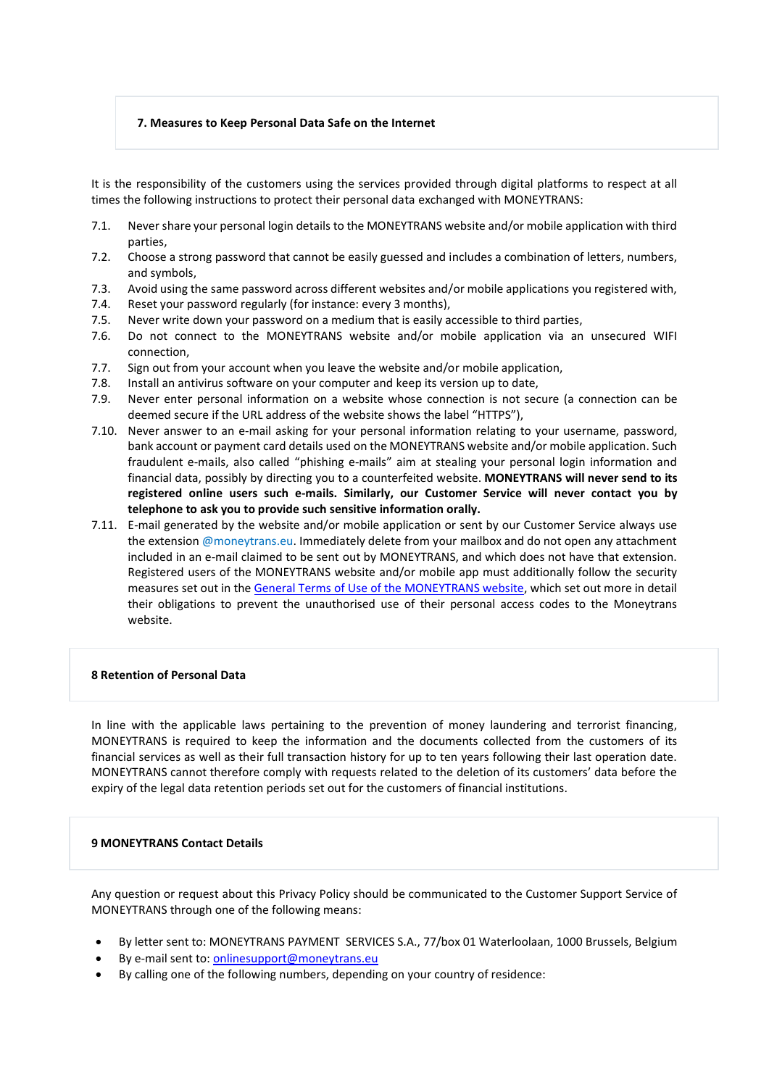## **7. Measures to Keep Personal Data Safe on the Internet**

It is the responsibility of the customers using the services provided through digital platforms to respect at all times the following instructions to protect their personal data exchanged with MONEYTRANS:

- 7.1. Never share your personal login details to the MONEYTRANS website and/or mobile application with third parties,
- 7.2. Choose a strong password that cannot be easily guessed and includes a combination of letters, numbers, and symbols,
- 7.3. Avoid using the same password across different websites and/or mobile applications you registered with,
- 7.4. Reset your password regularly (for instance: every 3 months),
- 7.5. Never write down your password on a medium that is easily accessible to third parties,
- 7.6. Do not connect to the MONEYTRANS website and/or mobile application via an unsecured WIFI connection,
- 7.7. Sign out from your account when you leave the website and/or mobile application,
- 7.8. Install an antivirus software on your computer and keep its version up to date,
- 7.9. Never enter personal information on a website whose connection is not secure (a connection can be deemed secure if the URL address of the website shows the label "HTTPS"),
- 7.10. Never answer to an e-mail asking for your personal information relating to your username, password, bank account or payment card details used on the MONEYTRANS website and/or mobile application. Such fraudulent e-mails, also called "phishing e-mails" aim at stealing your personal login information and financial data, possibly by directing you to a counterfeited website. **MONEYTRANS will never send to its registered online users such e-mails. Similarly, our Customer Service will never contact you by telephone to ask you to provide such sensitive information orally.**
- 7.11. E-mail generated by the website and/or mobile application or sent by our Customer Service always use the extension @moneytrans.eu. Immediately delete from your mailbox and do not open any attachment included in an e-mail claimed to be sent out by MONEYTRANS, and which does not have that extension. Registered users of the MONEYTRANS website and/or mobile app must additionally follow the security measures set out in the [General Terms of Use of the MONEYTRANS website,](https://www.moneytrans.eu/belgium/en/legal-notes-and-terms-of-use/) which set out more in detail their obligations to prevent the unauthorised use of their personal access codes to the Moneytrans website.

# **8 Retention of Personal Data**

In line with the applicable laws pertaining to the prevention of money laundering and terrorist financing, MONEYTRANS is required to keep the information and the documents collected from the customers of its financial services as well as their full transaction history for up to ten years following their last operation date. MONEYTRANS cannot therefore comply with requests related to the deletion of its customers' data before the expiry of the legal data retention periods set out for the customers of financial institutions.

## **9 MONEYTRANS Contact Details**

Any question or request about this Privacy Policy should be communicated to the Customer Support Service of MONEYTRANS through one of the following means:

- By letter sent to: MONEYTRANS PAYMENT SERVICES S.A., 77/box 01 Waterloolaan, 1000 Brussels, Belgium
- By e-mail sent to: [onlinesupport@moneytrans.eu](mailto:onlinesupport@moneytrans.eu)
- By calling one of the following numbers, depending on your country of residence: